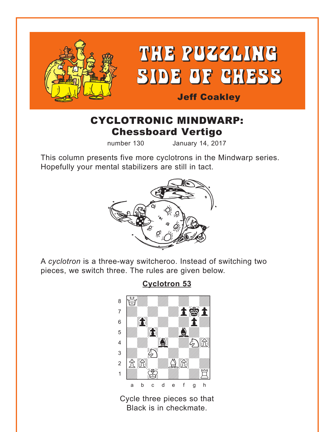<span id="page-0-0"></span>

# CYCLOTRONIC MINDWARP: Chessboard Vertigo

number 130 January 14, 2017

This column presents five more cyclotrons in the Mindwarp series. Hopefully your mental stabilizers are still in tact.



A *cyclotron* is a three-way switcheroo. Instead of switching two pieces, we switch three. The rules are given below.

# **[Cyclotron 53](#page-4-0)**

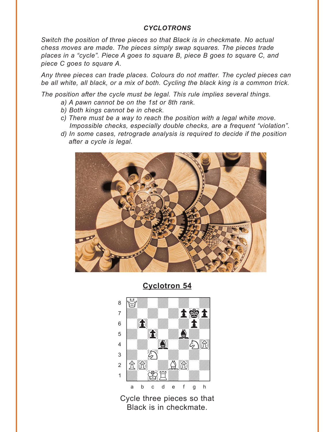#### *CYCLOTRONS*

<span id="page-1-0"></span>*Switch the position of three pieces so that Black is in checkmate. No actual chess moves are made. The pieces simply swap squares. The pieces trade places in a "cycle". Piece A goes to square B, piece B goes to square C, and piece C goes to square A.* 

*Any three pieces can trade places. Colours do not matter. The cycled pieces can be all white, all black, or a mix of both. Cycling the black king is a common trick.* 

*The position after the cycle must be legal. This rule implies several things.* 

- *a) A pawn cannot be on the 1st or 8th rank.*
- *b) Both kings cannot be in check.*
- *c) There must be a way to reach the position with a legal white move. Impossible checks, especially double checks, are a frequent "violation".*
- *d) In some cases, retrograde analysis is required to decide if the position after a cycle is legal.*



**[Cyclotron 54](#page-5-0)**

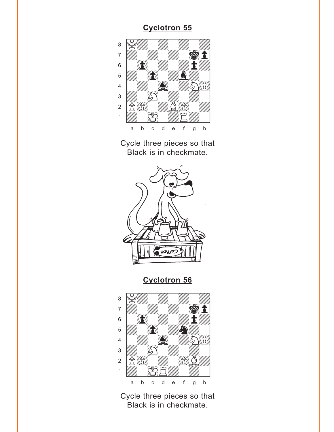<span id="page-2-0"></span>

Cycle three pieces so that Black is in checkmate.



**[Cyclotron 56](#page-6-0)**

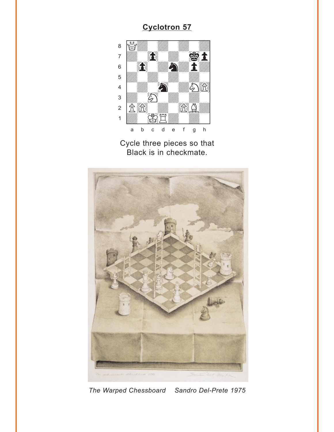<span id="page-3-0"></span>



*The Warped Chessboard Sandro Del-Prete 1975*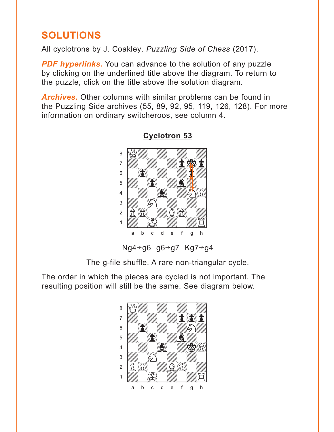# <span id="page-4-0"></span>**SOLUTIONS**

All cyclotrons by J. Coakley. *Puzzling Side of Chess* (2017).

**PDF hyperlinks.** You can advance to the solution of any puzzle by clicking on the underlined title above the diagram. To return to the puzzle, click on the title above the solution diagram.

*Archives***.** Other columns with similar problems can be found in the Puzzling Side archives (55, 89, 92, 95, 119, 126, 128). For more information on ordinary switcheroos, see column 4.



## **[Cyclotron 53](#page-0-0)**

The g-file shuffle. A rare non-triangular cycle.

The order in which the pieces are cycled is not important. The resulting position will still be the same. See diagram below.

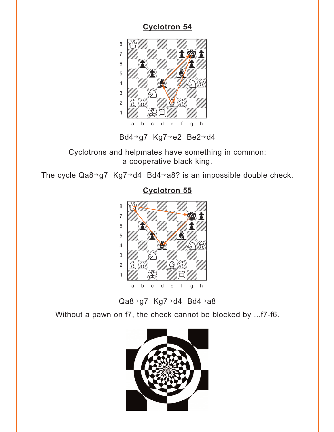<span id="page-5-0"></span>

Bd4→g7 Kg7→e2 Be2→d4

Cyclotrons and helpmates have something in common: a cooperative black king.

The cycle  $Qa8 \rightarrow g7 Kg7 \rightarrow d4 Bd4 \rightarrow a8$ ? is an impossible double check.



#### **[Cyclotron 55](#page-2-0)**

Qa8 $\rightarrow$ g7 Kg7 $\rightarrow$ d4 Bd4 $\rightarrow$ a8

Without a pawn on f7, the check cannot be blocked by ...f7-f6.